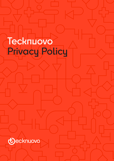# **Tecknuovo Privacy Policy**



GDPR Privacy Notice 1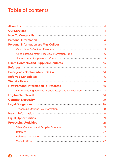# **Table of contents**

| <b>About Us</b>                                         | 4              |
|---------------------------------------------------------|----------------|
| <b>Our Services</b>                                     | $\overline{A}$ |
| <b>How To Contact Us</b>                                | $\overline{A}$ |
| <b>Personal Information</b>                             | 4              |
| <b>Personal Information We May Collect</b>              | 5              |
| <b>Candidates &amp; Contract Resource</b>               | 5              |
| Candidates/Contract Resource Information Table          | 6              |
| If you do not give personal information                 | 15             |
| <b>Client Contacts And Suppliers Contacts</b>           | 15             |
| <b>Referees</b>                                         | 15             |
| <b>Emergency Contacts/Next Of Kin</b>                   | 16             |
| <b>Referred Candidates</b>                              | 16             |
| <b>Website Users</b>                                    | 16             |
| <b>How Personal Information Is Protected</b>            | 16             |
| Our Processing activites - Candidates/Contract Resource | 17             |
| <b>Legitimate Interest</b>                              | 18             |
| <b>Contract Necessity</b>                               | 20             |
| <b>Legal Obligations</b>                                | 20             |
| <b>Processing Of Sensitive Information</b>              | 20             |
| <b>Health Information</b>                               | 21             |
| <b>Equal Opportunities</b>                              | 21             |
| <b>Processing Activities</b>                            | 21             |
| <b>Client Contracts And Supplier Contacts</b>           | 21             |
| <b>Referees</b>                                         | 22             |
| <b>Referees Candidates</b>                              | 22             |
| <b>Website Users</b>                                    | 22             |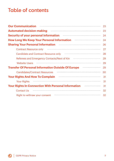# **Table of contents**

| <b>Our Communication</b>                                   | 23 |
|------------------------------------------------------------|----|
| <b>Automated decision-making</b>                           | 23 |
| <b>Security of your personal information</b>               | 24 |
| <b>How Long We Keep Your Personal Information</b>          | 24 |
| <b>Sharing Your Personal Information</b>                   | 26 |
| <b>Contract Resource only</b>                              | 27 |
| Candidate and Contract Resource only                       | 28 |
| Referees and Emergency Contacts/Next of Kin                | 29 |
| <b>Website Users</b>                                       | 29 |
| <b>Transfer Of Personal Information Outside Of Europe</b>  | 29 |
| <b>Candidates/Contract Resources</b>                       | 30 |
| <b>Your Rights And How To Complain</b>                     | 31 |
| <b>Your Rights</b>                                         | 31 |
| <b>Your Rights In Connection With Personal Information</b> | 31 |
| <b>Contact Us</b>                                          | 32 |
| Right to withraw your consent                              | 32 |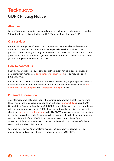# **Tecknuovo GDPR Privacy Notice**

# **About us**

We are Tecknuovo Limited (a registered company in England under company number 9611416 with our registered offices at 20-22 Wenlock Road, London, N1 7GU.

# **Our services**

We are a niche supplier of consultancy services and we specialise in the DevOps, Cloud and Open-Source space. We act as a specialist service provider in the provision of consultancy and project services to both public and private sector clients (Consultancy Services). We are registered with the Information Commissioner Office (ICO) with registration number ZA127396.

# **How to contact us**

If you have any queries or questions about this privacy notice, please contact our data protection manager, at [compliance@tecknuovo.com](mailto:compliance@tecknuovo.com) or you may call us on 0203 805 7799.

Should you wish to contact us more formally to exercise any of your rights in law or to request information about our use of your personal information please refer to Your [Rights and How to Complain](#page-30-0) and [Contact Us-Your Rights](#page-31-0) below.

# **Personal Information**

Any information we hold about you (whether manually or electronically in a relevant filing system) and which identifies you as an individual (personal data under the UK General Data Protection Regulations (UK GDPR) may only be used by us in accordance with the requirements of the UK GDPR. If we use particularly sensitive personal data about you (special categories of data under UK GDPR) or we use personal data relating to criminal convictions and offences, we will comply with the additional requirements set out in Article 9 of the UK GDPR and the Data Protection Act 2018. Special categories of data include data which reveals racial/ethnic origin, religious/political views, health, and sex life/orientation.

When we refer to your "personal information" in this privacy notice, we refer to personal data and special categories of data as defined in UK GDPR.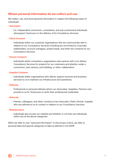# **Whose personal information do we collect and use**

We collect, use, and store personal information in respect the following types of individuals:

- **Associates**
	- *-* (i.e. independent contractors, consultants, and sub-contractors) Individuals whosupport Tecknuovo in the delivery of its Consultancy Services.
- **Client Contacts**
	- *-* Individuals within our customer organisations that we communicate with in relation to our Consultancy Services including but not limited to corporate stakeholders, account managers, project leads, and other key contacts for our Consultancy Services.
- **Partner Contacts**
	- *-* Individuals within consultancy organisations who partner with us to deliver Consultancy Services for projects for our customers and whether under a consortium, joint venture, joint bidding, or other collaboration.
- **Supplier Contacts**
	- *-* Individuals within organisations who deliver support services and business services to us to maintain our infrastructure and operations.
- **Referees**
	- *-* Professional or personal referees whom our Associates, Suppliers, Partners may provide to us for Tecknuovo to verify their professional credentials.
- **Referrals**
	- *-* Friends, colleagues, and other contacts of any Associate, Client, Partner, Supplier who are referred to us to contact in relation to our Consultancy Services.
- **Website Users**
	- *-* Individuals who access our website and whether or not they are individuals within any of the above categories.

When we refer to your "personal information" in this privacy notice, we refer to personal data and special categories of data as defined in UK GDPR.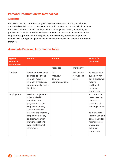# <span id="page-5-0"></span>**Personal information we may collect**

#### **Associates**

We may collect and process a range of personal information about you, whether obtained directly from you or obtained from a third-party source, and which includes but is not limited to contact details, work and employment history, education, and professional qualifications that we believe are relevant assess your suitability to be engaged to support us on our projects, to administer any contract with you, and comply with our legal obligations. We may collect the following personal information from you:

# **Associate Personal Information Table**

| <b>Type of</b><br><b>Personal</b><br><b>Information</b> | <b>Details</b>                                                                                                                                                                                                                                         | <b>Source</b>                                |                                          | <b>Reason for</b><br>collection                                                                                                                                                                       |
|---------------------------------------------------------|--------------------------------------------------------------------------------------------------------------------------------------------------------------------------------------------------------------------------------------------------------|----------------------------------------------|------------------------------------------|-------------------------------------------------------------------------------------------------------------------------------------------------------------------------------------------------------|
|                                                         |                                                                                                                                                                                                                                                        | Associate                                    | Third party                              |                                                                                                                                                                                                       |
| Contact                                                 | Name, address, email<br>address, telephone<br>number, mobile<br>number, emergency<br>contact details, next of<br>kin details                                                                                                                           | CV<br>Interview<br>Service<br>Communications | Job Boards<br>Networking<br><b>Sites</b> | To assess your<br>suitability for<br>our projects we<br>require<br>additional<br>technical<br>support on.                                                                                             |
| Employment                                              | Previous projects and<br>roles worked in<br>Details of prior<br>projects and roles<br>Employers details/<br>Customer details<br>Dates of engagement/<br>employment Salary<br>and Remuneration<br>Career aspirations<br>Work/professional<br>references |                                              |                                          | To undertake<br>pre-screening<br>checks as a<br>condition of<br>working with us<br>To allow us to<br>identify you and<br>contact you for<br>future projects<br>we require<br>technical<br>support on. |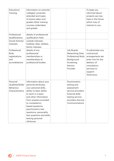| Education/<br>Training                                         | Information on schools/<br>colleges/ university<br>attended and types<br>of exams taken and<br>grades Other training<br>courses undertaken<br>and grades                                                                                                                                                                      |                                                                                                                                                    | To keep you<br>informed about<br>projects we may<br>have in the future<br>which may of<br>interest to you.                                      |
|----------------------------------------------------------------|-------------------------------------------------------------------------------------------------------------------------------------------------------------------------------------------------------------------------------------------------------------------------------------------------------------------------------|----------------------------------------------------------------------------------------------------------------------------------------------------|-------------------------------------------------------------------------------------------------------------------------------------------------|
| Professional<br>Qualifications                                 | details of professional<br>qualification held                                                                                                                                                                                                                                                                                 |                                                                                                                                                    |                                                                                                                                                 |
| Social Activity/<br>Interests                                  | outside interests,<br>hobbies, likes, dislikes,<br>family interests                                                                                                                                                                                                                                                           |                                                                                                                                                    |                                                                                                                                                 |
| Professional<br>Body<br>registrations<br>and<br>accreditations | details of any<br>professional<br>memberships or<br>memberships of<br>professional bodies                                                                                                                                                                                                                                     | Job Boards<br><b>Networking Sites</b><br>Professional Body<br>Background<br>Screening<br>Service<br>Provider                                       | To administer any<br>contractual<br>arrangements we<br>enter into for the<br>delivery of<br>consultancy<br>services to<br>support<br>Tecknuovo. |
| Personal<br>Qualities/Skills/<br>Behaviour<br>Characteristics  | information about your<br>personal attributes,<br>your personal skills,<br>ability to lead, ability<br>to work in a team,<br>and other information<br>from answers provided<br>to competency<br>based questions,<br>psychometric test<br>questions, personality<br>test questions and skills<br>testing personal<br>refrences | Psychometric<br>testing and<br>assessment<br>service providers<br><b>External skills</b><br>testing service<br>providers Service<br>Communications |                                                                                                                                                 |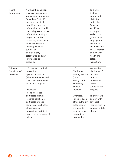| Health       | Any health conditions,   |                        | To ensure       |
|--------------|--------------------------|------------------------|-----------------|
| Information  | sickness information,    |                        | that we         |
|              | vaccination information  |                        | comply with     |
|              | (including Covid-19      |                        | obligations     |
|              | passport) medical        |                        | under the       |
|              | conditions, medical      |                        | Equality        |
|              | information provided in  |                        | Act 2010;       |
|              | medical questionnaires,  |                        | to support      |
|              | information relating to  |                        | and explain     |
|              | pregnancy and or         |                        | gaps in your    |
|              | maternity, assessment    |                        | employment      |
|              | of a PAYE worker's       |                        | history; to     |
|              | working capacity,        |                        | ensure we and   |
|              | subject to               |                        | our Client may  |
|              | confidentiality          |                        | comply with     |
|              | safeguards, and any      |                        | health and      |
|              | information on           |                        | safety          |
|              | disabilities.            |                        | legislation.    |
|              |                          |                        |                 |
| Criminal     | UK: Unspent criminal     | UK:                    | We require      |
| Convictions/ | convictions              | <b>Disclosure</b>      | disclosure of   |
| Offences     | <b>Spent Convictions</b> | <b>Barring Service</b> | unspent         |
|              | (where more enhanced     | (DBS)                  | criminal        |
|              | DBS check is required    | Background             | convictions to  |
|              | by us for a project)     | Screening              | assess          |
|              |                          | Service                | suitability for |
|              | Overseas:                | Provider               | projects.       |
|              | Police clearance         |                        |                 |
|              | certificate, criminal    | Overseas:              | To ensure we    |
|              | records certificate,     | Police or such         | comply with     |
|              | certificate of good      | other authority        | any legal       |
|              | standing or such other   | authorised by          | requirement to  |
|              | official criminal        | the state to           | conduct a DBS   |
|              | convictions certificates | issue criminal         | check.          |
|              | issued by the country of | convictions            |                 |
|              | origin                   | information            |                 |
|              |                          |                        |                 |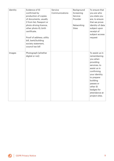| Identity | Evidence of ID<br>confirmed by<br>production of copies<br>of documents, usually<br>2 from list; Passport or<br>photo driving licence,<br>other photo ID, birth<br>certificate.<br>Proof of address; utility<br>bill, bank/building<br>society statement,<br>council tax bill | Service<br>Communications | Background<br>Screening<br>Service<br>Provider<br>Networking<br><b>Sites</b> | To ensure that<br>you are who<br>you state you<br>are; to ensure<br>that we prove<br>identity of data<br>subject upon<br>receipt of<br>subject access<br>request                                                            |
|----------|------------------------------------------------------------------------------------------------------------------------------------------------------------------------------------------------------------------------------------------------------------------------------|---------------------------|------------------------------------------------------------------------------|-----------------------------------------------------------------------------------------------------------------------------------------------------------------------------------------------------------------------------|
| Images   | Photograph (whether<br>digital or not)                                                                                                                                                                                                                                       |                           |                                                                              | To assist us in<br>remembering<br>you when<br>providing<br>services; to<br>assist us in<br>confirming<br>your identity;<br>to prepare<br>building<br>passes or<br>other ID<br>badges for<br>attendance at<br>project sites. |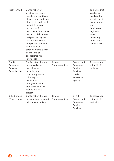| Right to Work                                       | Confirmation of<br>whether you have a<br>right to work and basis<br>of such right; evidence<br>of ability to work legally<br>in the UK; copy of<br>passport or 2<br>documents from Home<br>Office list of documents<br>and physical sight of<br>passport required to<br>comply with defence<br>requirement, EU<br>settlement status, visa,<br>permit, and or<br>sponsorship visa<br>information |                           |                                                                                 | To ensure that<br>you have a<br>legal right to<br>work in the UK<br>in accordance<br>with<br>immigration<br>legislation<br>when<br>delivering<br>consultancy<br>services to us. |
|-----------------------------------------------------|-------------------------------------------------------------------------------------------------------------------------------------------------------------------------------------------------------------------------------------------------------------------------------------------------------------------------------------------------------------------------------------------------|---------------------------|---------------------------------------------------------------------------------|---------------------------------------------------------------------------------------------------------------------------------------------------------------------------------|
| Credit<br>Reference<br>(adverse<br>financial check) | Confirmation that you<br>have no adverse<br>credit history<br>including any,<br>bankruptcy, and or<br>voluntary or<br>involuntary<br>arrangements for<br>creditors where we<br>require this for a<br>project                                                                                                                                                                                    | Service<br>Communications | Background<br>Screening<br>Service<br>Provider<br>Credit<br>Reference<br>Agency | To assess your<br>suitability for<br>projects.                                                                                                                                  |
| <b>CIFAS Check</b><br>(Fraud check)                 | Confirmation that you<br>have not been involved<br>in fraudulent activity                                                                                                                                                                                                                                                                                                                       | Service<br>Communications | <b>CIFAS</b><br>Background<br>Screening<br>Service<br>Provider                  | To assess your<br>suitability for<br>projects.                                                                                                                                  |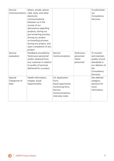| Service<br>Communications        | letters, emails, phone<br>calls, texts, and other<br>electronic<br>communications<br>between us in the<br>course of our<br>discussions regarding<br>projects, during our<br>pre-screening process,<br>during our project<br>on-boarding process,<br>during any project, and<br>upon completion of any<br>project |                                                                                                                    |                                               | To administer<br>our<br>Consultancy<br>Services.                                                                   |
|----------------------------------|------------------------------------------------------------------------------------------------------------------------------------------------------------------------------------------------------------------------------------------------------------------------------------------------------------------|--------------------------------------------------------------------------------------------------------------------|-----------------------------------------------|--------------------------------------------------------------------------------------------------------------------|
| Service<br>evaluation            | Feedback provided by<br>Tecknuovo personnel<br>and/or obtained from<br>any customer in relation<br>to quality of services<br>delivered for a project.                                                                                                                                                            | Service<br>Communications                                                                                          | Tecknuovo<br>personnel<br>Client<br>personnel | To monitor<br>and maintain<br>quality of and<br>standards in<br>our delivery of<br>the<br>Consultancy<br>Services. |
| Special<br>Categories of<br>Data | Health Information,<br>Images, Equal<br>Opportunities                                                                                                                                                                                                                                                            | CV, Application<br>Form,<br>Equal opportunity<br>monitoring form,<br>Service<br>Communications,<br>interview notes |                                               | See defined<br>category<br>sections for<br>more<br>information                                                     |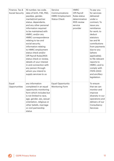| Finance, Tax &<br>Social Security | NI number, tax code,<br>data of birth, P45, P60,<br>payslips, gender,<br>marital/civil partner<br>status, dependants,<br>and any other personal<br>information required<br>to be maintained with<br>HMRC, and/or any<br>HMRC correspondence<br>relating to tax and<br>social security,<br>information relating<br>to HMRC employment<br>status check and/or<br>Off-Payroll Rules/IR35<br>status check or review,<br>details of your interest<br>in and connection with<br>any person through<br>whom you intend to<br>supply services to us | Service<br>Communications<br><b>HMRC Employment</b><br><b>Status Check</b> | <b>HMRC</b><br>Off-Payroll<br>Rules status<br>determination<br>IR35 review<br>service<br>provider | To pay you<br>for services<br>delivered<br>under a<br>contract; To<br>issue you<br>remittance<br>for work; to<br>deduct<br>statutory<br>tax and NI<br>contributions<br>from payments<br>due to you<br>(where<br>applicable);<br>to file relevant<br>reports to<br>HMRC; and to<br>comply with<br><b>ITEPA 2003</b><br>and ancillary<br>legislation. |
|-----------------------------------|---------------------------------------------------------------------------------------------------------------------------------------------------------------------------------------------------------------------------------------------------------------------------------------------------------------------------------------------------------------------------------------------------------------------------------------------------------------------------------------------------------------------------------------------|----------------------------------------------------------------------------|---------------------------------------------------------------------------------------------------|-----------------------------------------------------------------------------------------------------------------------------------------------------------------------------------------------------------------------------------------------------------------------------------------------------------------------------------------------------|
| Equal<br>Opportunities            | any information<br>completed in an equal<br>opportunity monitoring<br>form which includes but<br>is not limited to race,<br>age, gender, sex, sexual<br>orientation, religious or<br>other beliefs, marriage<br>or civil partnership<br>status                                                                                                                                                                                                                                                                                              | <b>Equal Opportunity</b><br>Monitoring Form                                |                                                                                                   | To ensure<br>that we can<br>monitor and<br>improve<br>diversity in our<br>operations and<br>delivery of our<br>Consultancy<br>Services                                                                                                                                                                                                              |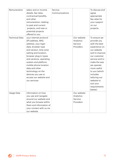| Remuneration          | salary and or income<br>details, fee rates,<br>contractual benefits,<br>and other<br>remuneration; relating<br>to past and current<br>projects, and new or<br>potential projects<br>offered to you                                                                                                                                                      | Service<br>Communications |                                                  | To discuss and<br>agree<br>appropriate<br>fee rates for<br>your support<br>on our<br>projects.                                                                                                                                                                                    |
|-----------------------|---------------------------------------------------------------------------------------------------------------------------------------------------------------------------------------------------------------------------------------------------------------------------------------------------------------------------------------------------------|---------------------------|--------------------------------------------------|-----------------------------------------------------------------------------------------------------------------------------------------------------------------------------------------------------------------------------------------------------------------------------------|
| <b>Technical Data</b> | your internet protocol<br>(IP) address, MAC<br>address, your login<br>data, browser type<br>and version, time zone<br>setting and location,<br>browser plug-in types<br>and versions, operating<br>system and platform,<br>mobile phone location<br>data and other<br>technology on the<br>devices you use to<br>access our website and<br>our services |                           | Our website<br>Analytics<br>Service<br>Providers | To ensure we<br>provide you<br>with the best<br>experience on<br>our website<br>and to improve<br>our customer<br>service and to<br>make the way<br>we operate<br>more useful<br>to you (which<br>includes<br>tailoring our<br>website to<br>suit your<br>requirements<br>better) |
| Usage Data            | information on how<br>you use and navigate<br>around our website and<br>what you browse within<br>them and information of<br>your contact with us via<br>our website                                                                                                                                                                                    |                           | Our website<br>Analytics<br>Service<br>Providers |                                                                                                                                                                                                                                                                                   |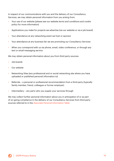In respect of our communications with you and the delivery of our Consultancy Services, we may obtain personal information from you arising from:

- Your use of our website (please see our website terms and conditions and cookie policy for more information)
- Applications you make for projects we advertise (via our website or via a job board)
- Your attendance at any networking event we host or sponsor
- Your attendance at any business fair we are promoting our Consultancy Services
- When you correspond with us via phone, email, video conference, or through any text or email messaging service

We may obtain personal information about you from third party sources:

- Job boards
- Our website
- Networking Sites (any professional and or social networking site where you have uploaded or published personal information to)
- Referrals a personal or professional recommendation from a third party (typically family member, friend, colleague or former employer)
- Intermediary any party who you supply your services through

We may collect further personal information about you in anticipation of or as part of on-going compliance in the delivery of our Consultancy Services from third party sources referred to in the [Associate Personal Information Table.](#page-5-0)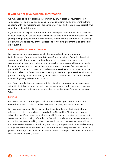# **If you do not give personal information**

We may need to collect personal information by law in certain circumstances. If you choose not to give us this personal information, it may delay or prevent us from engaging with you regarding your consultancy services and/or progress a project if we cannot comply with the law.

If you choose not to give us information that we require to undertake our assessment of your suitability for our projects, we may not be able to continue our discussions with you regarding a project or otherwise continue to administer a contract for an existing project. We will advise you of the implications of not giving us information at the time we request it.

#### **Client, Supplier and Partner Contacts**

We may collect and process personal information about you and which will typically include Contact details and Service Communications. We will only collect such personal information either directly from you as a consequence of our communications with you, indirectly during service negotiations with you, indirectly from the contract with you, or indirectly from a Networking Site. We may use such personal information to contact you to discuss our services with you now and in the future, to deliver our Consultancy Services to you, to discuss your services with us, to perform our obligations or your obligations under a contract with you, and to keep in touch with you regarding future projects.

As a Supplier or Partner, we may undertake suitability checks on you to assess your suitability to deliver services to us. In this respect we may undertake such checks as we would conduct on Associates as identified in the Associate Personal Information Table.

#### **Referrals**

We may collect and process personal information relating to Contact details for Referrals who are provided to us by any Client, Supplier, Associate, or Partner.

We may receive personal information about you directly from the individual who referred you or from a Job Board or profile for a Networking Site that you may be subscribed to. We will only use such personal information to contact you as a direct consequence of you being referred to us. We will typically ask the person referring you to confirm that you are willing to be contacted by us or in the alternative we will ask the person referring you to introduce you to us. If you express an interest in discussing a project or services with us now or in the future as a consequence of our contact with you as a Referral, we will retain your Contact details for this purpose and in accordance with our retention policy below.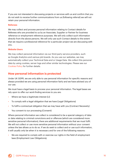If you are not interested in discussing projects or services with us and confirm that you do not wish to receive further communications from us (following referral) we will not retain your personal information.

#### **Referees**

We may collect and process personal information relating to Contact details for Referees who are provided to us by an Associate, Supplier or Partner for business reference or employment reference purposes. We will only collect such information directly from the above persons. We will only use such Contact details to the extent that we require a professional reference for a particular project we are discussing with you.

#### **Website Users**

We may collect personal information via our third-party service providers, such as Google Analytics and various job boards. As you use our websites, we may automatically collect your Technical Data and or Usage Data. We collect this personal data by using cookies, server logs and other similar technologies. Please see our [Cookies Policy](https://www.iubenda.com/privacy-policy/70487983/cookie-policy) for further details.

# **How personal information is protected**

Under UK GDPR, we are only able to use personal information for specific reasons and always provided we are using personal information fairly and we have advised you of our use.

We must have a legal basis to process your personal information. The legal bases we rely upon to offer our work-finding services to you are:

- Where we have a legitimate interest (LI)
- To comply with a legal obligation that we have (Legal Obligations)
- To fulfil a contractual obligation that we may have with you (Contract Necessity)
- You consent to our processing (Consent)

Where personal information we collect is considered to be a special category of data or data relating to criminal convictions and or offences (which are considered more sensitive personal information), there are additional requirements that we must fulfil. We will not collect or use more sensitive personal information without your consent unless the law allows us to do so. If we do seek to collect and or use such information, it will usually only be when it is necessary and for one of the following reasons:

We are required to comply with or exercise our rights in the field of employment laws (Employment Law Obligations);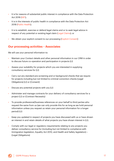- It is for reasons of substantial public interest in compliance with the Data Protection Act 2018 (SBT);
- It is in the interests of public health in compliance with the Data Protection Act 2018 (Public Health);
- It is to establish, exercise or defend legal claims and or to seek legal advice in respect of any potential or existing legal claim (Legal Claims); or
- We obtain your explicit consent to our processing (Explicit Consent)

# **Our processing activities – Associates**

We will use your personal information to:

- Maintain your Contact details and other personal information in our CRM in order to discuss future co-operation and participation in projects (LI)
- Assess your suitability for projects which you are interested in supplying consultancy services for (LI)
- Carry out any standard pre-screening and or background checks that we require for projects including but not limited to criminal conviction checks (Legal Obligations) (LI) or (Consent)
- Discuss any potential projects with you (LI)
- Administer and manage contracts for your delivery of consultancy services for a project (LI) or (Contract Necessity)
- To provide professional/business references on your behalf to third parties who request the same from us (we can only provide this for as long as we hold personal information unless you request us retain your personal information for a longer period) (LI)
- Keep you updated in respect of projects you have discussed with us or have shown an interest in and retain details of what projects you have shown interest in (LI).
- Comply with our legal or regulatory requirements relating to any projects you deliver consultancy service for (including but not limited to compliance with Immigration legislation, Equality Act 2010, and Health and Safety legislation) – (Legal Obligations)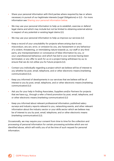- Share your personal information with third parties where required by law or where necessary in pursuit of our legitimate interests (Legal Obligations) or (LI) – for more information see [Sharing your personal information below.](#page-25-0)
- We may use your personal information to help us to establish, exercise or defend legal claims and which may include but not be limited to obtaining external advice in respect of any potential or existing legal claims (LI).
- We may use your personal information to help us improve our services (LI)
- Keep a record of your unsuitability for projects where arising due to any misconduct, any act, error, or omission by you, any harassment or any behaviour of a violent, threatening, or intimidating nature towards us, our staff or any third party, any misrepresentation or conveyance of false information by you, or your unprofessional behaviour; and which has led to your services having been terminated, or any offer to work for us on a project being withdrawn by us; to ensure that we do not utilise you for future projects (LI).
- Contact you individually regarding a project which we believe will be of interest to you whether by post, email, telephone, and or other electronic means (marketing communication) (LI).
- Keep you informed of developments in our services that we believe will be of interest to you by post, email, telephone, and or other electronic means (marketing communication) (LI)
- Ask you for your help in finding Associates, Suppliers and/or Partners for projects that we have e.g., through a refer a friend promotion by post, email, telephone, and or other electronic means (marketing communication) (LI)
- Keep you informed about relevant professional information; published salary surveys and industry reports relevant to you, networking events, and other relevant information about the industry sector or your skills sector which we believe may be of interest to you by post, email, telephone, and or other electronic means (marketing communication) (LI).

Occasionally, we may require your consent from time to time for the collection and processing of personal information for certain processing activities which are not identified above, which will notify you of at the time of such request for personal information.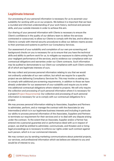# **Legitimate Interest**

Our processing of your personal information is necessary for us to ascertain your suitability for working with us on our projects. We believe it is important that we have a rounded and informed understanding of your work history, technical and personal skills, and your outside interests in order to achieve this aim.

Our sharing of your personal information with Clients is necessary to ensure the Client's confidence in the quality of our delivery team to deliver the services contracted or outsourced, to allow our Clients to comply with the law, and to allow our Clients to comply with internal security procedures to allow our delivery teams access to their premises and systems to perform our Consultancy Services.

Our assessment of your suitability and completion of our own pre-screening and background checks on you is necessary for us to ensure that you have the technical skills and ability to perform work for us, to mitigate our exposure to claims arising from your negligent performance of the services, and to evidence our compliance with our contractual obligations and warranties under our Client contracts. Such information may be audited to demonstrate to our Client our compliance with such Client contract; all of which are legitimate interests of ours.

We may collect and process personal information relating to you that we would not ordinarily undertake of our own volition, but which we require for a specific project we are delivering Consultancy Services for. This may involve us asking you to comply with additional pre-screening requirements, in addition to those we have already undertaken for our assessment of your suitability and require you to enter into additional contractual obligations where related to projects. We will only require the collection and processing of such personal information where it is necessary for a project (Project Requirements). Our collection and processing of such personal information is necessary for us to comply with our contractual obligations for a project.

We may process personal information relating to Associates, Suppliers and Partners to administer, perform, and or manage the contract with the Associate (or any Intermediary) which is in our legitimate business interests and including in particular our ability to process personal information of the Associates, Suppliers and Partners to terminate our requirement for their services and or to deal with any dispute arising under the contract. To the extent that an Associate, Supplier and/or a Partner has entered into a personal guarantee and or performance deed with us in respect of project, we shall be entitled to administer, communicate, and threaten and or bring legal proceedings as is necessary to enforce our rights under such contract against such person, which is in our commercial interests.

We may contact you by sending marketing communications about potential projects, our services, and professional information which we believe are relevant to you and would be of interest to you.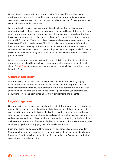Our continued contact with you now and in the future on this basis is designed to maximise your opportunity of working with us again on future projects; that we continue to have access to a broad range of suitable Associates for our projects that we may have now and in the future.

We are willing to provide business verification details confirming that you were engaged by us to deliver services on a project if requested by any future customer of yours or any future employer or other person whom you have been advised will seek businesses references and or business verification for the period that we retain your personal information. We are not obliged to provide business references or provide business verification details to you. Should you wish us to retain your information beyond the period we may ordinarily retain your personal information for, you may request us at any time to maintain core employment verification personal information however we will have no obligation to maintain your details beyond the retention period advised.

We will process your personal information where it is in our interests to establish, exercise and or defend legal claims; to seek legal advice in respect of such legal claims (Legal Claims), to prevent criminal acts and or unlawful acts including but not limited to fraud.

# **Contract Necessity**

Our processing on this basis shall only apply to the extent that we may engage Associates directly as workers or employees. We are required to process certain Financial information that you have provided, in order to perform our contract with you and which includes but is not limited to make payments to you after statutory deductions to you and administering statutory entitlements and benefits.

# **Legal Obligations**

Our processing on this basis shall apply to the extent that we are required to process personal information to comply with our obligations under UK laws including but not limited to immigration legislation, legislation covering bribery, modern slavery, criminal facilitation of tax, social security, and payroll legislation in respect of workers and employees, with our obligations for tax intermediary reporting for PSCs, with our obligations to comply with the agency legislation in respect of any Associates engaged as self-employed, and or applying the Off-Payroll Rules for PSCs.

Such checks may be conducted by a third-party background screening provider (Screening Provider) and in which case the processing of your personal data by such Screening Provider shall be subject to the Screening Provider's own data protection consent form and privacy notice.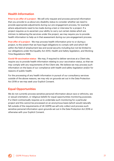# **Health Information**

**Prior to an offer of a project**  $\cdot$  We will only request and process personal information that you provide to us about any disability status to consider whether we need to provide appropriate adjustments during our pre-engagement process, for example where adjustments need to be made during a test or interview for a project. If a project requires us to ascertain your ability to carry out certain duties which are intrinsic to delivering the services under the project, we may require you to provide health information to help us in that assessment during our pre-engagement process.

**Post offer of a project** - We may process health information prior to or during a project, to the extent that we have legal obligations to comply with and which fall within the field of employment law and social security including but not be limited to our obligations under the Equality Act 2010, Health and Safety legislation, and Working Time Regulations 1998.

**Covid-19 vaccination status** - We may, if required to deliver services at a Client site, require you to provide health information relating to your vaccination status, so that we may comply with any requirements of the Client site. We believe we may process such information on the basis of our compliance with health and safety legislation and/or for reasons of public health.

For the processing of any health information in pursuit of our consultancy services outside of the above reasons, we may rely on grounds set out in the Data Protection Act 2018 or we may seek your Explicit Consent.

# **Equal Opportunities**

We do not currently process sensitive personal information about race or ethnicity, sex or sexual orientation, or religious beliefs for equal opportunities monitoring purposes. If a Client contractually requires us to undertake such monitoring for a particular project and this cannot be processed on an anonymous basis (which would naturally fall outside of the requirements of UK GDPR) we will only collect and process such sensitive personal information upon grounds set out in the Data Protection Act 2018 or otherwise with your Explicit Consent.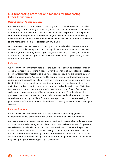# **Our processing activities and reasons for processing - Other Individuals**

#### **Client/Supplier/Partner Contacts**

We may use personal information to contact you to discuss with you and or market our full range of consultancy services to you or discuss your services to us now and in the future, to administer and deliver relevant services, to perform our obligations and enforce our rights under a contract with you, to keep in touch with regarding developments in services delivered and which we believe will be of benefit to us both, and to manage the commercial relationship with you.

Less commonly, we may need to process your Contact details in the event we are required to comply any legal and or statutory obligations, and or for which we may rely upon grounds relating to our Legal Obligations. We may process your personal information to deal with Legal Claims. We do not collect and or process any sensitive information about you.

#### **Referees**

We will only use your Contact details for the purpose of taking up a reference for an Associate where we determine it necessary in the conduct of our suitability checks. It is in our legitimate interest to take up references to ensure we are utilising suitably skilled and experienced Associates and to comply with any contractual warranties under our contracts with our Clients. Less commonly, we may need to process your Contact details in the event we are required to comply any legal and or statutory obligations, and or for which we may rely upon grounds relating to Legal Obligations. We may process your personal information to deal with Legal Claims. We do not collect and or process any sensitive information about you. Your details may be processed in connection with a contractual or statutory audit where our Associate records are audited by our Client for compliance purposes. For any processing of your personal information outside of the above processing activities, we will seek your consent.

#### **Referred Associate**

We will only use your Contact details for the purpose of contacting you as a consequence of you being referred to us and in connection with our services.

We have a legitimate interest in ensuring that we identify potential suitable Associates or projects we are delivering for our Clients. If you wish to be considered for projects, we will retain your details and you will be considered an Associate for the purpose of this privacy notice. If you do not wish to register with us, your details will not be retained. Less commonly, we may need to process your Contact details in the event we are required to comply any legal and or statutory obligations, and or for which we may rely upon grounds relating to Legal Obligations.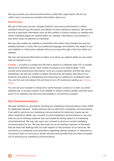We may process your personal information to deal with Legal Claims. We do not collect and or process any sensitive information about you.

#### **Website Users**

We use a third-party service, Google Analytics, and various job boards to collect standard internet log information and details of visitor behaviour patterns. We use this service to ascertain information such as the number of visitors visiting our website and which individual pages are viewed within our website. Information is processed in a way which does not identify an individual.

We may also enable our website to remember information that changes the way the website behaves or looks, like your preferred language; and whether this relates to our own website or a third-party website which you access through a link from within our website.

We may use personal information to allow us to show you adverts while you are online that are relevant to you.

**Cookies** – a cookie is a simple text file that is stored on a Website User's PC or mobile device by a website's server. Each cookie is unique to your web browser. It will contain some anonymous information, such as a unique identifier and the site name. Sometimes, we will use cookies to deliver the services we believe add value to our business and assist is in developing and improving our website for all Website Users. You can find out more about this and how to turn off cookies by reading our [Cookies](https://www.iubenda.com/privacy-policy/70487983/cookie-policy)  [Policy.](https://www.iubenda.com/privacy-policy/70487983/cookie-policy)

You can set your browser to refuse all or some browser cookies or to alert you when websites set or access cookies. If you disable or refuse cookies, please note that some parts of our website may become inaccessible or not function properly.

# **Our Communications**

We have clarified our grounds for sending you marketing communications under GDPR for legitimate interests. Under existing rules on electronic marketing communications, if we wish to send you our marketing communications by electronic means we are either required to obtain your consent to send marketing communications or we may treat you as an existing customer (you are treated as having opted-in to marketing communications). We may rely upon your consent to send you certain marketing communications to you. We may also treat you as an existing customer on the basis that we have had dealings with you with respect to the provision of our services. We only send you marketing communications regarding relevant projects, or otherwise in connection with our services or similar services and provided that you have not opted out of receiving our marketing communications.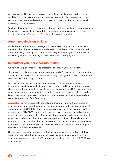We may use cookies for marketing purposes subject to this privacy notice and our Cookies Policy. We do not share your personal information for marketing purposes with any other person and provided you have not opted out of receiving our email marketing communications.

You have the right at any time to opt out of receiving future marketing communications from us or otherwise object to our future marketing communications by emailing us directly. Please see [Contact Us – Your Rights](#page-31-0) for more information.

# **Automated decision-making**

No decision whether or not to engage with Associates, Suppliers, and/or Partners is made without human intervention and no decision is based solely on automated decision-making. We may use search functionality within our systems or through our Networking Sites to help identify suitable Associates for our projects.

# **Security of your personal information**

We have put in place measures to protect the security of your information.

Third-party providers will only process your personal information in accordance with our instructions and upon terms under which they have agreed to treat the information confidentially and to keep it secure.

We have put in place appropriate security measures to prevent your personal information from being accidentally lost, used or accessed in an unauthorised way, altered or disclosed. In addition, we limit access to your personal information to those employees, agents, contractors and other third parties who have a business need to know. They will only process your personal information on our instructions, and they are subject to a duty of confidentiality.

**Associates** - our Clients are data controllers in their own right for the purposes of data protection laws, and therefore are required to comply with the requirements of security under UK GDPR. Our terms of business require the Client to comply with the requirements of UK GDPR and they will have their own privacy notice and policy with respect to their own processing of personal information they collect and use. Should you wish to understand what other personal information, if any, they collect about you, and or process outside of our expectations in this privacy notice, or any queries in relation to their processing of your personal information as a data controller you should contact the Client directly.

Our Associates are data processors to Tecknuovo pursuant to the delivery of their services in support of Tecknuovo projects. Associates will be required to enter into data processing agreements with Tecknuovo and shall be liable under UK GDPR as a data processor.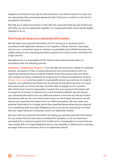Suppliers and Partners may also be data processors and will be required to enter into any appropriate data processing agreement with Tecknuovo in relation to the service provided to Tecknuovo.

We have put in place procedures to deal with any suspected data security breach and will notify you and any applicable regulator of a suspected breach where we are legally required to do so.

# **How long we keep your personal information**

We will retain your personal information only for as long as is necessary and in accordance with legitimate interests of our Suppliers, Clients, Partners, Associates and our own commercial needs to maintain a sustainable and profitable business but subject always to any overriding law which requires us to retain certain information for longer periods.

We believe that it is reasonable and fair that we retain personal information in accordance with the following periods:

**Associates - Enquiries for Projects –** From the date we record your details for potential projects, we expect to have on-going discussions and communications with you regarding existing and future projects however those discussions arise, and which may include you being considered for projects and or being interviewed for projects (Project Discussions) and we expect to successfully secure your services on projects. However, we understand that there may be periods during which we have no Project Discussions with you and or we have not been able to engage you for a project, after which time it may be reasonable to expect that your personal information will no longer be of interest or relevance to us and should be deleted. We will remove your personal information from our CRM and systems if we have not had any Project Discussions with you for more than 6 years since our last Project Discussion, we will remove your personal information from our CRM and systems. We may retain your personal information for a longer period than specified above where we are required to in compliance with any Legal Obligations and or as may be required by us to deal with any Legal Claims as is necessary and in our legitimate interest.

We may retain any personal information (including any sensitive personal information) for any project that you have been considered for (whether or not you have been successful) for a minimum period of 12 months of our consideration to ensure that we may comply with our Legal Obligations and or may establish or defend and or exercise any legal claims as is necessary and in our legitimate interest.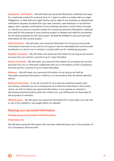<span id="page-25-0"></span>**Associates - On Projects** – We will retain any personal information collected and used for a particular project for a period of up to 7 years in order to comply with our Legal Obligations, to deal with any Legal Claims, and to reply to any business or employment verification requests received from any new customer, new employer or recruitment agency who requests confirmation of your business services or work history through us. Should you work on a further project for us and any personal information collected and used for the purpose of your previous project is relevant and valid for processing for the same purposes for the new project, we shall be entitled to use such personal information for the current project.

**Client Contacts** – We will retain your personal information for as long as we provide Consultancy Services to you and for as long as it may be reasonable and commercially beneficial to us and to you to remain in contact with you for marketing purposes.

**Supplier Contracts** – We will retain your personal information for as long as we receive services from you and for a period of up to 1 year thereafter.

**Partner Contracts** - We will retain your personal information for as long as we receive services from you or otherwise collaborate with you in the delivery of the Consultancy Services and for a period of up to 6 years thereafter.

**Referees** – We will retain your personal information for as long as we hold as Associate's personal information is held by us in accordance with the above retention period.

**Referred Associates** – If you do not wish for us to discuss potential projects with you having contacted you as a consequence of a referral as described in this privacy notice, we will not retain your personal information. If you express an interest in discussing potential projects when we contact you, you will become an Associate for the purposes of retention.

**Website Users** – We will retain your personal information for 2 years after your last visit or use of our website or any pages within our website.

# **Sharing your personal information**

#### **Sharing personal information with third parties**

#### **Associates only**

We will share personal information that we have collected about you in the provision of our Consultancy Services with: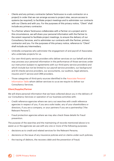- Clients and any primary contractor (where Tecknuovo is a sub-contractor on a project) in order that we can arrange access to project sites, secure access to systems (as required), to facilitate project meetings and to administer our contracts with our Clients and with you. For the purposes of this privacy notice, "Client" shall include any primary contractor.
- To a Partner where Tecknuovo collaborates with a Partner on a project and in this circumstance, we will share your personal information with the Partner to the extent required to facilitate project meetings, to ensure the delivery of our Consultancy Services, and to administer our contracts with the Partner, primary contractor and you. For the purposes of this privacy notice, reference to "Client" shall include any Intermediary.
- Umbrella companies who administer the engagement of and payroll of Associates who undertake projects for us.
- Our own third-party service providers who deliver services on our behalf and who may process your personal information in the performance of those services under our instruction (subject to agreements with our third-party service providers) and which include but not be limited to our payroll service providers, our background and ID checks service providers, our accountants, our auditors, legal advisors, insurers and IT service and CRM providers.
- Those categories of third-party sources identified in the [Associate Personal](#page-5-0)  Information Table whom deliver services to us as we require to deliver our Consultancy Services.

#### **Client/Supplier/Partner**

We will share personal information that we have collected about you in the delivery of our Consultancy Services or operation of our business activities with:

- Credit reference agencies where we carry out searches with credit reference agencies in respect of you, if you are a sole trader, any of your shareholders or directors, if you are a company, or your partners if you are a partnership ("the Relevant Persons").
- Fraud protection agencies where we may also check these details for fraud prevention.

The purpose of the searches and the maintaining of records mentioned above is to assist us or the agencies we use with any one or more of the following purposes:

- decisions as to credit and related services for the Relevant Persons;
- decisions on the issue of any insurance policies and on claims under such policies;
- the tracing of debtors, the recovery debt and the prevention of fraud;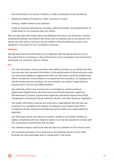- the confirmation of a person's identity in order to forestall money laundering;
- statistical analysis of products, credit, insurance or fraud;
- training, market research and statistics;
- credit or financial assessments including, without limitation, the establishment of credit limits for our business with our Clients

We may also pass information about any Relevant Persons to our financiers, insurers, professional advisers and others with whom we do business and to any person from whom you may wish to receive a service similar to that provided by us and to any assignee or successor of our Consultancy Services.

#### **Referees**

We will share personal information of our Referees with the above persons only to the extent that it is necessary in the performance of our Consultancy Services and to administer our contracts with our Clients.

#### **All**

- Our own third-party service providers who deliver services on our behalf and who may process your personal information in the performance of those services under our instruction (subject to agreements with our third-party service providers) and which include but not be limited to our payroll service providers, our background and ID checks service providers, our accountants, our auditors, legal advisors, insurers and IT service and CRM providers.
- Any authority; which may include but is not limited to; central and local government departments, law enforcement and fraud prevention agencies, HM Revenue & Customs, Employment Agencies Standards Inspectorate (EASI), Gangmasters Licensing & Abuse Authority (GLAA), and other statutory regulators;
- Any public information sources and third-party organisations that we may use to perform our suitability and checks; including but not limited to the DVLA, Companies House, Disclosure and Barring Service (DBS), and credit reference agencies.
- Any third party whom we instruct to perform audits on our behalf, whether to assess compliance with any statutory duties or as may be required to comply with any contractual commitments that we have.
- Any relevant industry trade body that we may be a member of from time to time.
- Any potential purchaser of our business or the potential owners of any other business we may potentially wish to merge with in the future.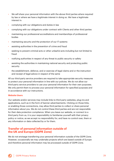- We will share your personal information with the above third parties where required by law or where we have a legitimate interest in doing so. We have a legitimate interest in:
- complying with our obligations and duties in law
- complying with our obligations under contract with Clients and other third parties
- maintaining our professional accreditations and memberships of professional bodies
- maintaining security and the protection of our IT systems
- assisting authorities in the prevention of crime and fraud
- seeking to prevent criminal acts or other unlawful acts including but not limited to fraud
- notifying authorities in respect of any threat to public security or safety
- assisting the authorities in maintaining national security and protecting public security
- the establishment, defence, and or exercise of legal claims and or the instruction and receipt of legal advice in respect of the same

All our third-party service providers are required to take appropriate security measures to protect your personal information in line with our policies. We do not allow our third-party service providers to use your personal information for their own purposes. We only permit them to process your personal information for specified purposes and in accordance with our instructions.

#### **Website Users**

Our website and/or services may include links to third party websites, plug-ins and applications, such as in the form of banner advertisements. Clicking on those links, or enabling those connections, may allow third parties to collect or share personal information about you. We do not control these third parties and are not responsible for their data protection compliance. When you leave our website, or connect to a third party from us, it is your responsibility to familiarise yourself with their privacy policy or notice, as we accept no responsibility for, and have no control over, them or any information or data collected by or for them.

# **Transfer of personal information outside of the UK and Europe (GDPR Zone)**

We do not envisage transferring your personal information outside of the GDPR Zone. However, occasionally we may undertake projects which are based outside of Europe and therefore personal information may be processed outside of GDPR Zone.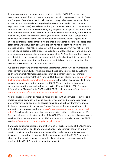If processing of your personal data is required outside of GDPR Zone, and the country concerned does not have an adequacy decision in place with the UK ICO or the European Commission (which allows that country to be treated as a safe place to transfer and process data alongside other EU countries and to the standards equivalent to UK GDPR), we will ensure that your personal information does receive an adequate level of protection by requiring any recipient of your personal information to enter into contractual terms and conditions and any other undertaking or requirement that we may deem necessary to ensure your personal information is safeguarded and which requires the same level of protection afforded to processing inside of Europe (appropriate safeguards). If we are unable to put into place these appropriate safeguards, we will typically seek your explicit written consent when we need to process personal information outside of GDPR Zone having given you notice of the risks of having personal data processed outside of GDPR Zone, unless we believe we may process your personal information outside of GDPR Zone for important reasons of public interest or to establish, exercise or defend legal claims; if it is necessary for the performance of a contract with you or with a third party where we believe that contract was entered into by us for your benefit.

We confirm that your personal information is retained within our customer relationship management system (CRM) which is a cloud-based service provided by Bullhorn and your personal information is held securely on Bullhorn's servers. For more information on Bullhorn's UK GDPR and EU GDPR position please refer to [https://www.](https://www.bullhorn.com/uk/gdpr-commitment-statement/) [bullhorn.com/uk/gdpr-commitment-statement/](https://www.bullhorn.com/uk/gdpr-commitment-statement/). To the extent that emails identifying you are personal data for the purposes of UK GDPR, we confirm that our emails are administered through a cloud-based service, Microsoft Office 365. For more information on Microsoft's UK GDPR and EU GDPR position please refer to: https:// [docs.microsoft.com/en-us/compliance/regulatory/gdpr.](https://docs.microsoft.com/en-us/compliance/regulatory/gdpr)

Your contact details may be retained within our accounting software for payroll and invoicing activities, which is a cloud-based service provided by Zero. Zero retains personal information securely on servers within Europe but may transfer your data to their group companies outside of Europe. For more information on Zero's data protection position please refer to: [https://www.xero.com/uk/campaigns/xero-and](https://www.xero.com/uk/campaigns/xero-and-gdpr/)gdpr/ . Zero hosts its data through a third-party data hosting provider (Amazon Web Services) with servers located outside of the GDPR Zone, to host its online and mobile services. For more information about AWS's approach to compliance with the GDPR, see [https://aws.amazon.com/compliance/gdpr-center/.](https://aws.amazon.com/compliance/gdpr-center/)

If we need to transfer personal information to other parties outside of the GDPR Zone in the future; whether due to any system changes, appointment of new third-party service providers or otherwise, we will ensure that we have appropriate safeguards in place in order to transfer personal information outside of the GDPR Zone or in the absence of appropriate measures we will only transfer such personal information outside of the GDPR Zone with your written consent.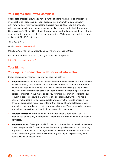# <span id="page-30-0"></span>**Your Rights and How to Complain**

Under data protection laws, you have a range of rights which help to protect you in respect of our processing of your personal information. If you are unhappy with how we deal with your request to exercise your rights, or you are unhappy with our response to your request, you may make a complaint to the Information Commissioner's Office (ICO) who is the supervisory authority responsible for enforcing data protection laws in the UK. You can contact the ICO by post, by email, telephone or live chat. The ICO details are:

Tel: 03031231113

Email: [casework@ico.org.uk](mailto:casework@ico.org.uk)

Mail: ICO, Wycliffe House, Water Lane, Wilmslow, Cheshire SK9 5AF

We recommend that you read your right to make a complaint at

[https://ico.org.uk/concerns/.](https://ico.org.uk/make-a-complaint/) 

### **Your Rights**

### **Your rights in connection with personal information**

Under certain circumstances, by law you have the right to:

- **Request access** to your personal information (commonly known as a "data subject access request"). This enables you to receive a copy of the personal information we hold about you and to check that we are lawfully processing it. We may ask you to verify your identity as part of our security measures for the protection of personal information. We may also ask you for more information regarding your request in order to ensure that we meet our obligations fully. Whilst no fee is generally chargeable for access requests, we reserve the right to charge a fee if you make repeated requests, ask for further copies of our disclosure, or your request is considered excessive in our reasonable view. We may also decline your request for access if we believe that your request is vexatious.
- **Request correction** of the personal information that we hold about you. This enables you to have any incomplete or inaccurate information we hold about you corrected.
- **Request erasure** of your personal information. This enables you to ask us to delete or remove personal information where there is no good reason for us continuing to process it. You also have the right to ask us to delete or remove your personal information where you have exercised your right to object to processing (see below). However, please note: